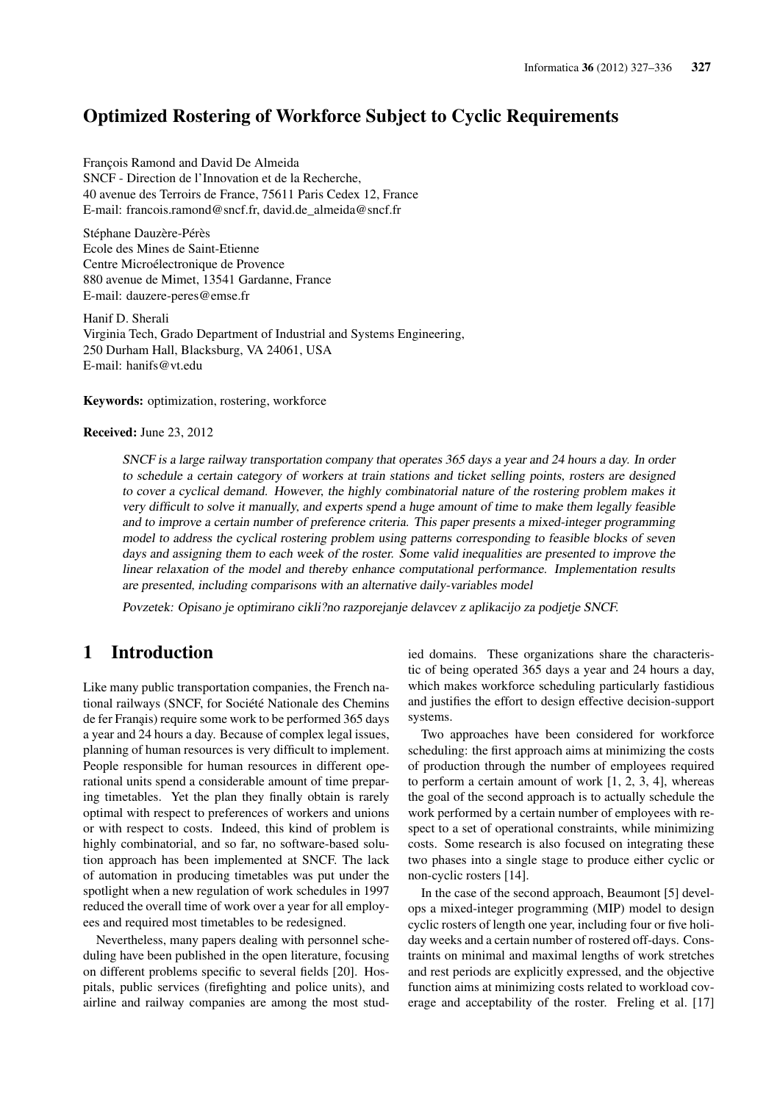## Optimized Rostering of Workforce Subject to Cyclic Requirements

François Ramond and David De Almeida SNCF - Direction de l'Innovation et de la Recherche, 40 avenue des Terroirs de France, 75611 Paris Cedex 12, France E-mail: francois.ramond@sncf.fr, david.de\_almeida@sncf.fr

Stéphane Dauzère-Pérès Ecole des Mines de Saint-Etienne Centre Microélectronique de Provence 880 avenue de Mimet, 13541 Gardanne, France E-mail: dauzere-peres@emse.fr

Hanif D. Sherali Virginia Tech, Grado Department of Industrial and Systems Engineering, 250 Durham Hall, Blacksburg, VA 24061, USA E-mail: hanifs@vt.edu

Keywords: optimization, rostering, workforce

#### Received: June 23, 2012

SNCF is <sup>a</sup> large railway transportation company that operates 365 days <sup>a</sup> year and <sup>24</sup> hours <sup>a</sup> day. In order to schedule <sup>a</sup> certain category of workers at train stations and ticket selling points, rosters are designed to cover <sup>a</sup> cyclical demand. However, the highly combinatorial nature of the rostering problem makes it very difficult to solve it manually, and experts spend <sup>a</sup> huge amount of time to make them legally feasible and to improve <sup>a</sup> certain number of preference criteria. This paper presents <sup>a</sup> mixed-integer programming model to address the cyclical rostering problem using patterns corresponding to feasible blocks of seven days and assigning them to each week of the roster. Some valid inequalities are presented to improve the linear relaxation of the model and thereby enhance computational performance. Implementation results are presented, including comparisons with an alternative daily-variables model

Povzetek: Opisano je optimirano cikli?no razporejanje delavcev <sup>z</sup> aplikacijo za podjetje SNCF.

## 1 Introduction

Like many public transportation companies, the French national railways (SNCF, for Société Nationale des Chemins de fer Franais) require some work to be performed 365 days a year and 24 hours a day. Because of complex legal issues, planning of human resources is very difficult to implement. People responsible for human resources in different operational units spend a considerable amount of time preparing timetables. Yet the plan they finally obtain is rarely optimal with respect to preferences of workers and unions or with respect to costs. Indeed, this kind of problem is highly combinatorial, and so far, no software-based solution approach has been implemented at SNCF. The lack of automation in producing timetables was put under the spotlight when a new regulation of work schedules in 1997 reduced the overall time of work over a year for all employees and required most timetables to be redesigned.

Nevertheless, many papers dealing with personnel scheduling have been published in the open literature, focusing on different problems specific to several fields [20]. Hospitals, public services (firefighting and police units), and airline and railway companies are among the most studied domains. These organizations share the characteristic of being operated 365 days a year and 24 hours a day, which makes workforce scheduling particularly fastidious and justifies the effort to design effective decision-support systems.

Two approaches have been considered for workforce scheduling: the first approach aims at minimizing the costs of production through the number of employees required to perform a certain amount of work [1, 2, 3, 4], whereas the goal of the second approach is to actually schedule the work performed by a certain number of employees with respect to a set of operational constraints, while minimizing costs. Some research is also focused on integrating these two phases into a single stage to produce either cyclic or non-cyclic rosters [14].

In the case of the second approach, Beaumont [5] develops a mixed-integer programming (MIP) model to design cyclic rosters of length one year, including four or five holiday weeks and a certain number of rostered off-days. Constraints on minimal and maximal lengths of work stretches and rest periods are explicitly expressed, and the objective function aims at minimizing costs related to workload coverage and acceptability of the roster. Freling et al. [17]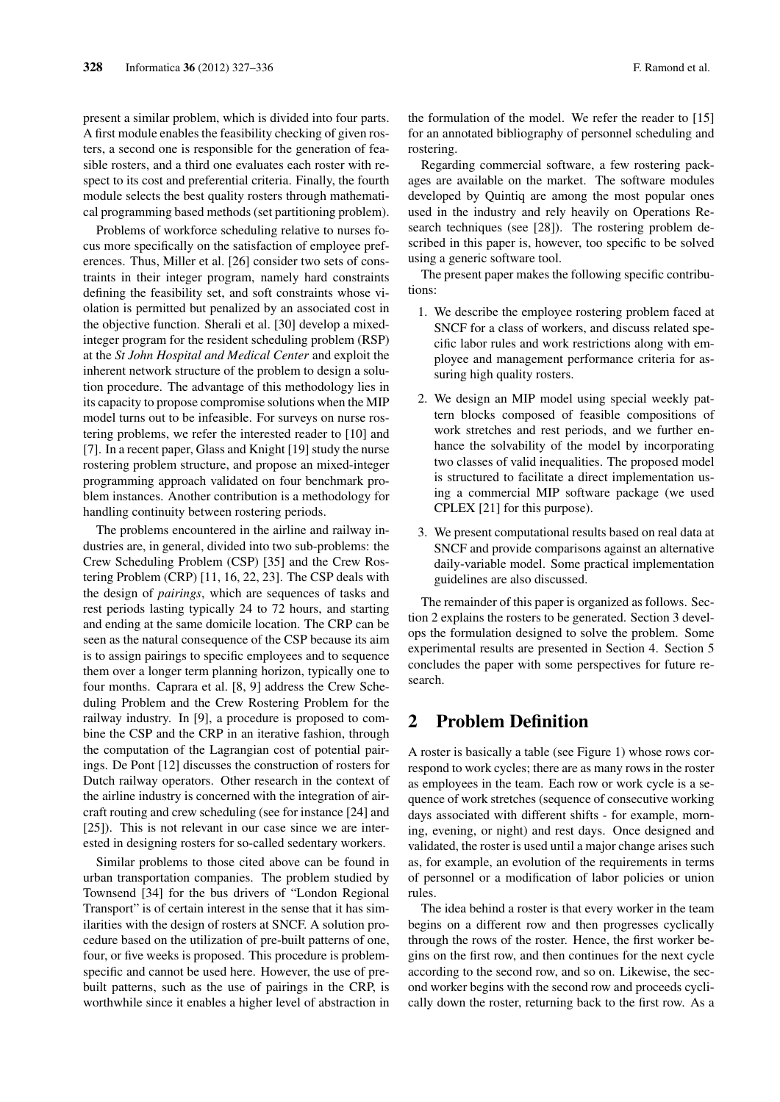present a similar problem, which is divided into four parts. A first module enables the feasibility checking of given rosters, a second one is responsible for the generation of feasible rosters, and a third one evaluates each roster with respect to its cost and preferential criteria. Finally, the fourth module selects the best quality rosters through mathematical programming based methods (set partitioning problem).

Problems of workforce scheduling relative to nurses focus more specifically on the satisfaction of employee preferences. Thus, Miller et al. [26] consider two sets of constraints in their integer program, namely hard constraints defining the feasibility set, and soft constraints whose violation is permitted but penalized by an associated cost in the objective function. Sherali et al. [30] develop a mixedinteger program for the resident scheduling problem (RSP) at the *St John Hospital and Medical Center* and exploit the inherent network structure of the problem to design a solution procedure. The advantage of this methodology lies in its capacity to propose compromise solutions when the MIP model turns out to be infeasible. For surveys on nurse rostering problems, we refer the interested reader to [10] and [7]. In a recent paper, Glass and Knight [19] study the nurse rostering problem structure, and propose an mixed-integer programming approach validated on four benchmark problem instances. Another contribution is a methodology for handling continuity between rostering periods.

The problems encountered in the airline and railway industries are, in general, divided into two sub-problems: the Crew Scheduling Problem (CSP) [35] and the Crew Rostering Problem (CRP) [11, 16, 22, 23]. The CSP deals with the design of *pairings*, which are sequences of tasks and rest periods lasting typically 24 to 72 hours, and starting and ending at the same domicile location. The CRP can be seen as the natural consequence of the CSP because its aim is to assign pairings to specific employees and to sequence them over a longer term planning horizon, typically one to four months. Caprara et al. [8, 9] address the Crew Scheduling Problem and the Crew Rostering Problem for the railway industry. In [9], a procedure is proposed to combine the CSP and the CRP in an iterative fashion, through the computation of the Lagrangian cost of potential pairings. De Pont [12] discusses the construction of rosters for Dutch railway operators. Other research in the context of the airline industry is concerned with the integration of aircraft routing and crew scheduling (see for instance [24] and [25]). This is not relevant in our case since we are interested in designing rosters for so-called sedentary workers.

Similar problems to those cited above can be found in urban transportation companies. The problem studied by Townsend [34] for the bus drivers of "London Regional Transport" is of certain interest in the sense that it has similarities with the design of rosters at SNCF. A solution procedure based on the utilization of pre-built patterns of one, four, or five weeks is proposed. This procedure is problemspecific and cannot be used here. However, the use of prebuilt patterns, such as the use of pairings in the CRP, is worthwhile since it enables a higher level of abstraction in the formulation of the model. We refer the reader to [15] for an annotated bibliography of personnel scheduling and rostering.

Regarding commercial software, a few rostering packages are available on the market. The software modules developed by Quintiq are among the most popular ones used in the industry and rely heavily on Operations Research techniques (see [28]). The rostering problem described in this paper is, however, too specific to be solved using a generic software tool.

The present paper makes the following specific contributions:

- 1. We describe the employee rostering problem faced at SNCF for a class of workers, and discuss related specific labor rules and work restrictions along with employee and management performance criteria for assuring high quality rosters.
- 2. We design an MIP model using special weekly pattern blocks composed of feasible compositions of work stretches and rest periods, and we further enhance the solvability of the model by incorporating two classes of valid inequalities. The proposed model is structured to facilitate a direct implementation using a commercial MIP software package (we used CPLEX [21] for this purpose).
- 3. We present computational results based on real data at SNCF and provide comparisons against an alternative daily-variable model. Some practical implementation guidelines are also discussed.

The remainder of this paper is organized as follows. Section 2 explains the rosters to be generated. Section 3 develops the formulation designed to solve the problem. Some experimental results are presented in Section 4. Section 5 concludes the paper with some perspectives for future research.

## 2 Problem Definition

A roster is basically a table (see Figure 1) whose rows correspond to work cycles; there are as many rows in the roster as employees in the team. Each row or work cycle is a sequence of work stretches (sequence of consecutive working days associated with different shifts - for example, morning, evening, or night) and rest days. Once designed and validated, the roster is used until a major change arises such as, for example, an evolution of the requirements in terms of personnel or a modification of labor policies or union rules.

The idea behind a roster is that every worker in the team begins on a different row and then progresses cyclically through the rows of the roster. Hence, the first worker begins on the first row, and then continues for the next cycle according to the second row, and so on. Likewise, the second worker begins with the second row and proceeds cyclically down the roster, returning back to the first row. As a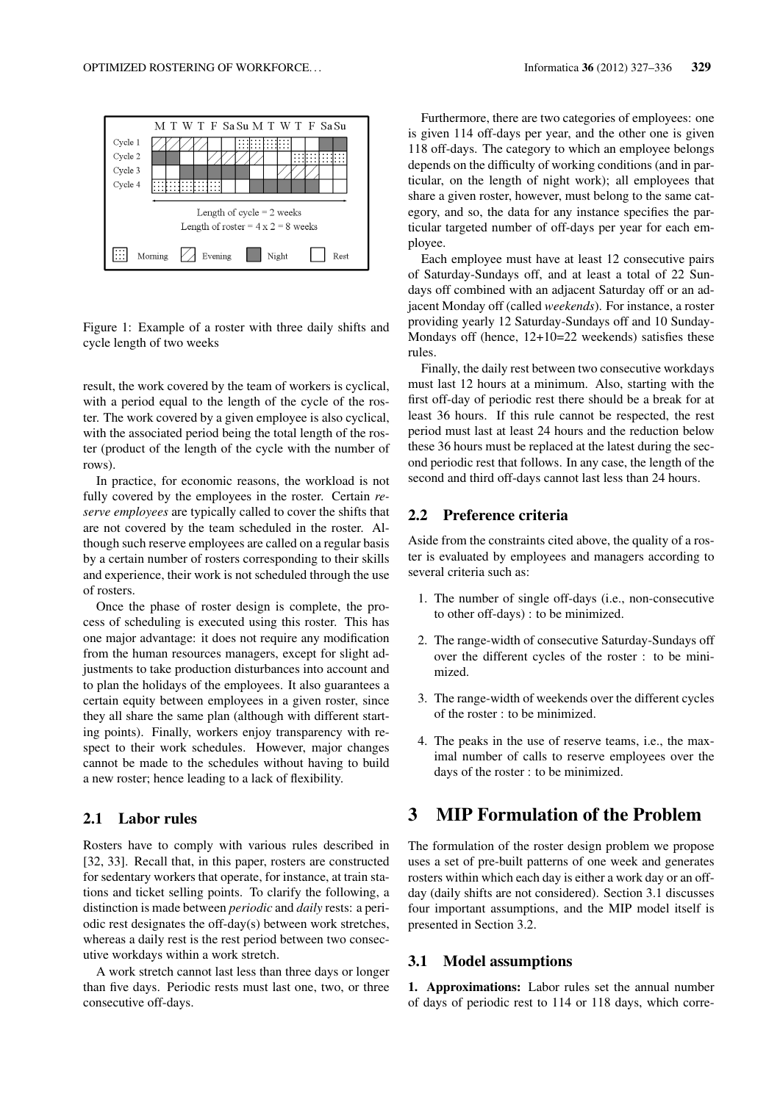

Figure 1: Example of a roster with three daily shifts and cycle length of two weeks

result, the work covered by the team of workers is cyclical, with a period equal to the length of the cycle of the roster. The work covered by a given employee is also cyclical, with the associated period being the total length of the roster (product of the length of the cycle with the number of rows).

In practice, for economic reasons, the workload is not fully covered by the employees in the roster. Certain *reserve employees* are typically called to cover the shifts that are not covered by the team scheduled in the roster. Although such reserve employees are called on a regular basis by a certain number of rosters corresponding to their skills and experience, their work is not scheduled through the use of rosters.

Once the phase of roster design is complete, the process of scheduling is executed using this roster. This has one major advantage: it does not require any modification from the human resources managers, except for slight adjustments to take production disturbances into account and to plan the holidays of the employees. It also guarantees a certain equity between employees in a given roster, since they all share the same plan (although with different starting points). Finally, workers enjoy transparency with respect to their work schedules. However, major changes cannot be made to the schedules without having to build a new roster; hence leading to a lack of flexibility.

### 2.1 Labor rules

Rosters have to comply with various rules described in [32, 33]. Recall that, in this paper, rosters are constructed for sedentary workers that operate, for instance, at train stations and ticket selling points. To clarify the following, a distinction is made between *periodic* and *daily* rests: a periodic rest designates the off-day(s) between work stretches, whereas a daily rest is the rest period between two consecutive workdays within a work stretch.

A work stretch cannot last less than three days or longer than five days. Periodic rests must last one, two, or three consecutive off-days.

Furthermore, there are two categories of employees: one is given 114 off-days per year, and the other one is given 118 off-days. The category to which an employee belongs depends on the difficulty of working conditions (and in particular, on the length of night work); all employees that share a given roster, however, must belong to the same category, and so, the data for any instance specifies the particular targeted number of off-days per year for each employee.

Each employee must have at least 12 consecutive pairs of Saturday-Sundays off, and at least a total of 22 Sundays off combined with an adjacent Saturday off or an adjacent Monday off (called *weekends*). For instance, a roster providing yearly 12 Saturday-Sundays off and 10 Sunday-Mondays off (hence, 12+10=22 weekends) satisfies these rules.

Finally, the daily rest between two consecutive workdays must last 12 hours at a minimum. Also, starting with the first off-day of periodic rest there should be a break for at least 36 hours. If this rule cannot be respected, the rest period must last at least 24 hours and the reduction below these 36 hours must be replaced at the latest during the second periodic rest that follows. In any case, the length of the second and third off-days cannot last less than 24 hours.

### 2.2 Preference criteria

Aside from the constraints cited above, the quality of a roster is evaluated by employees and managers according to several criteria such as:

- 1. The number of single off-days (i.e., non-consecutive to other off-days) : to be minimized.
- 2. The range-width of consecutive Saturday-Sundays off over the different cycles of the roster : to be minimized.
- 3. The range-width of weekends over the different cycles of the roster : to be minimized.
- 4. The peaks in the use of reserve teams, i.e., the maximal number of calls to reserve employees over the days of the roster : to be minimized.

## 3 MIP Formulation of the Problem

The formulation of the roster design problem we propose uses a set of pre-built patterns of one week and generates rosters within which each day is either a work day or an offday (daily shifts are not considered). Section 3.1 discusses four important assumptions, and the MIP model itself is presented in Section 3.2.

#### 3.1 Model assumptions

1. Approximations: Labor rules set the annual number of days of periodic rest to 114 or 118 days, which corre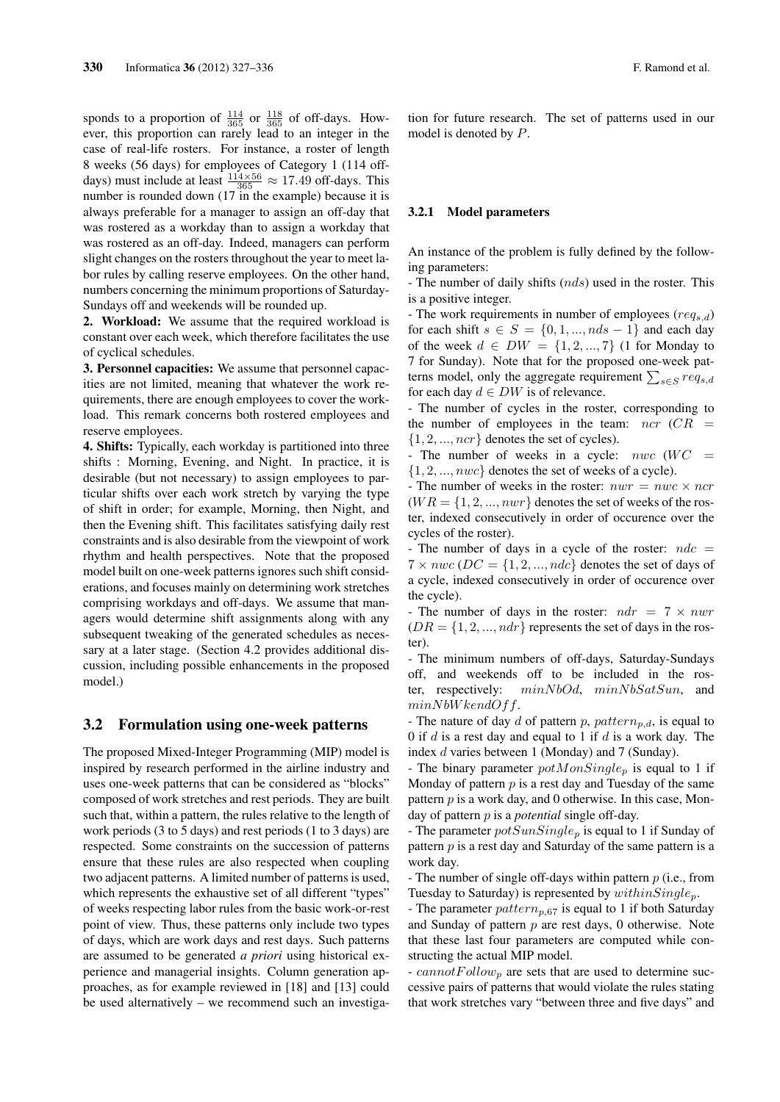sponds to a proportion of  $\frac{114}{365}$  or  $\frac{118}{365}$  of off-days. However, this proportion can rarely lead to an integer in the case of real-life rosters. For instance, a roster of length 8 weeks (56 days) for employees of Category 1 (114 offdays) must include at least  $\frac{114 \times 56}{365} \approx 17.49$  off-days. This number is rounded down (17 in the example) because it is always preferable for a manager to assign an off-day that was rostered as a workday than to assign a workday that was rostered as an off-day. Indeed, managers can perform slight changes on the rosters throughout the year to meet labor rules by calling reserve employees. On the other hand, numbers concerning the minimum proportions of Saturday-Sundays off and weekends will be rounded up.

2. Workload: We assume that the required workload is constant over each week, which therefore facilitates the use of cyclical schedules.

3. Personnel capacities: We assume that personnel capacities are not limited, meaning that whatever the work requirements, there are enough employees to cover the workload. This remark concerns both rostered employees and reserve employees.

4. Shifts: Typically, each workday is partitioned into three shifts : Morning, Evening, and Night. In practice, it is desirable (but not necessary) to assign employees to particular shifts over each work stretch by varying the type of shift in order; for example, Morning, then Night, and then the Evening shift. This facilitates satisfying daily rest constraints and is also desirable from the viewpoint of work rhythm and health perspectives. Note that the proposed model built on one-week patterns ignores such shift considerations, and focuses mainly on determining work stretches comprising workdays and off-days. We assume that managers would determine shift assignments along with any subsequent tweaking of the generated schedules as necessary at a later stage. (Section 4.2 provides additional discussion, including possible enhancements in the proposed model.)

### 3.2 Formulation using one-week patterns

The proposed Mixed-Integer Programming (MIP) model is inspired by research performed in the airline industry and uses one-week patterns that can be considered as "blocks" composed of work stretches and rest periods. They are built such that, within a pattern, the rules relative to the length of work periods (3 to 5 days) and rest periods (1 to 3 days) are respected. Some constraints on the succession of patterns ensure that these rules are also respected when coupling two adjacent patterns. A limited number of patterns is used, which represents the exhaustive set of all different "types" of weeks respecting labor rules from the basic work-or-rest point of view. Thus, these patterns only include two types of days, which are work days and rest days. Such patterns are assumed to be generated *a priori* using historical experience and managerial insights. Column generation approaches, as for example reviewed in [18] and [13] could be used alternatively – we recommend such an investigation for future research. The set of patterns used in our model is denoted by *P*.

#### 3.2.1 Model parameters

An instance of the problem is fully defined by the following parameters:

- The number of daily shifts (*nds*) used in the roster. This is a positive integer.

- The work requirements in number of employees (*reqs,d*) for each shift  $s \in S = \{0, 1, \ldots, nds - 1\}$  and each day of the week *d ∈ DW* = *{*1*,* 2*, ...,* 7*}* (1 for Monday to 7 for Sunday). Note that for the proposed one-week patterns model, only the aggregate requirement  $\sum_{s \in S} req_{s,d}$ for each day  $d \in DW$  is of relevance.

- The number of cycles in the roster, corresponding to the number of employees in the team: *ncr* (*CR* = *{*1*,* 2*, ..., ncr}* denotes the set of cycles).

The number of weeks in a cycle:  $nwc$  ( $WC =$ *{*1*,* 2*, ..., nwc}* denotes the set of weeks of a cycle).

- The number of weeks in the roster:  $nwr = nwc \times ncr$  $(WR = \{1, 2, ..., nwr\}$  denotes the set of weeks of the roster, indexed consecutively in order of occurence over the cycles of the roster).

- The number of days in a cycle of the roster:  $ndc =$  $7 \times n$ *wc* (*DC* = {1, 2, ..., *ndc*} denotes the set of days of a cycle, indexed consecutively in order of occurence over the cycle).

- The number of days in the roster: *ndr* = 7 *× nwr*  $(DR = \{1, 2, ..., ndr\}$  represents the set of days in the roster).

- The minimum numbers of off-days, Saturday-Sundays off, and weekends off to be included in the roster, respectively: *minN bOd*, *minN bSatSun*, and *minN bW kendOff*.

- The nature of day  $d$  of pattern  $p$ ,  $pattern_{p,d}$ , is equal to 0 if *d* is a rest day and equal to 1 if *d* is a work day. The index *d* varies between 1 (Monday) and 7 (Sunday).

- The binary parameter *potMonSingle<sup>p</sup>* is equal to 1 if Monday of pattern *p* is a rest day and Tuesday of the same pattern *p* is a work day, and 0 otherwise. In this case, Monday of pattern *p* is a *potential* single off-day.

- The parameter *potSunSingle<sup>p</sup>* is equal to 1 if Sunday of pattern *p* is a rest day and Saturday of the same pattern is a work day.

- The number of single off-days within pattern *p* (i.e., from Tuesday to Saturday) is represented by *withinSinglep*.

- The parameter *patternp,*<sup>67</sup> is equal to 1 if both Saturday and Sunday of pattern *p* are rest days, 0 otherwise. Note that these last four parameters are computed while constructing the actual MIP model.

- *cannotF ollow<sup>p</sup>* are sets that are used to determine successive pairs of patterns that would violate the rules stating that work stretches vary "between three and five days" and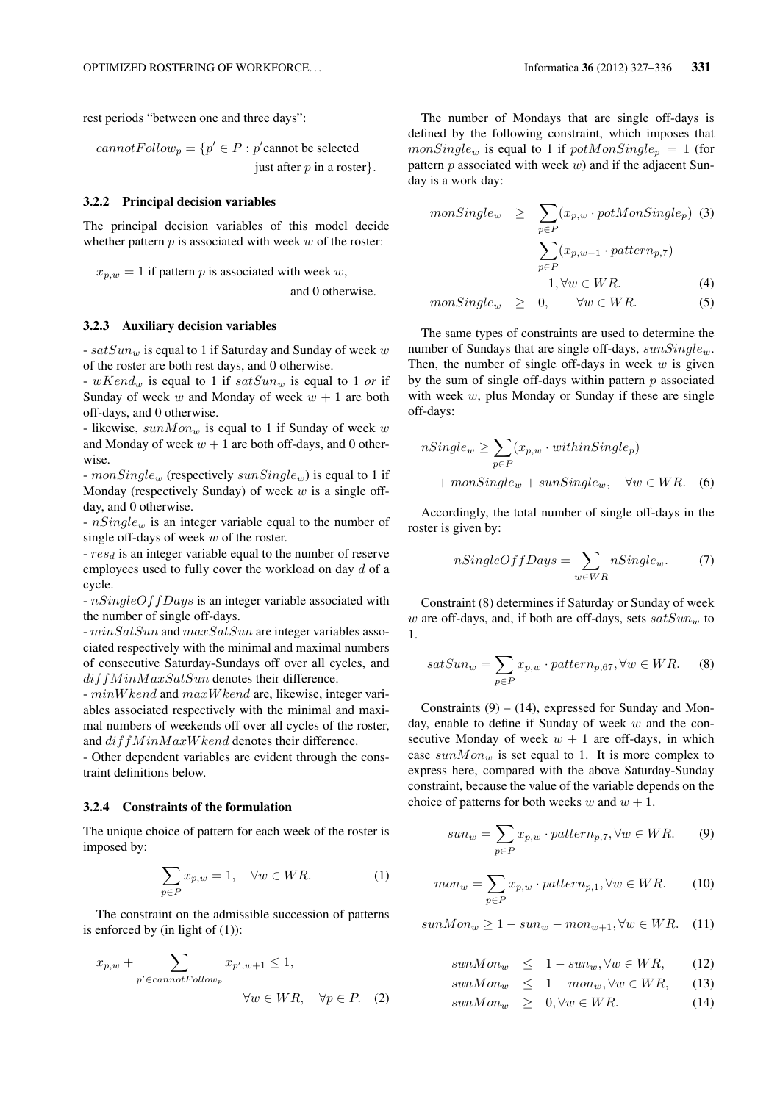rest periods "between one and three days":

 $cannotFollow_p = \{p' \in P : p'$ cannot be selected just after *p* in a roster*}.*

#### 3.2.2 Principal decision variables

The principal decision variables of this model decide whether pattern *p* is associated with week *w* of the roster:

 $x_{p,w} = 1$  if pattern *p* is associated with week *w*,

and 0 otherwise.

#### 3.2.3 Auxiliary decision variables

- *satSun<sup>w</sup>* is equal to 1 if Saturday and Sunday of week *w* of the roster are both rest days, and 0 otherwise.

- *wKend<sup>w</sup>* is equal to 1 if *satSun<sup>w</sup>* is equal to 1 *or* if Sunday of week  $w$  and Monday of week  $w + 1$  are both off-days, and 0 otherwise.

- likewise, *sunMon<sup>w</sup>* is equal to 1 if Sunday of week *w* and Monday of week  $w + 1$  are both off-days, and 0 otherwise.

- *monSingle<sup>w</sup>* (respectively *sunSinglew*) is equal to 1 if Monday (respectively Sunday) of week *w* is a single offday, and 0 otherwise.

- *nSingle<sup>w</sup>* is an integer variable equal to the number of single off-days of week *w* of the roster.

- *res<sup>d</sup>* is an integer variable equal to the number of reserve employees used to fully cover the workload on day *d* of a cycle.

- *nSingleOffDays* is an integer variable associated with the number of single off-days.

- *minSatSun* and *maxSatSun* are integer variables associated respectively with the minimal and maximal numbers of consecutive Saturday-Sundays off over all cycles, and *diffM inM axSatSun* denotes their difference.

- *minW kend* and *maxW kend* are, likewise, integer variables associated respectively with the minimal and maximal numbers of weekends off over all cycles of the roster, and  $di$ f f  $MinMaxW$  kend denotes their difference.

- Other dependent variables are evident through the constraint definitions below.

#### 3.2.4 Constraints of the formulation

The unique choice of pattern for each week of the roster is imposed by:

$$
\sum_{p \in P} x_{p,w} = 1, \quad \forall w \in WR.
$$
 (1)

The constraint on the admissible succession of patterns is enforced by (in light of  $(1)$ ):

$$
x_{p,w} + \sum_{p' \in cannotFollow_p} x_{p',w+1} \le 1,
$$
  

$$
\forall w \in WR, \quad \forall p \in P. \quad (2)
$$

The number of Mondays that are single off-days is defined by the following constraint, which imposes that  $monSingle_w$  is equal to 1 if  $potMonSingle_p = 1$  (for pattern *p* associated with week *w*) and if the adjacent Sunday is a work day:

$$
monSingle_w \geq \sum_{p \in P} (x_{p,w} \cdot potMonSingle_p) \quad (3)
$$

$$
+ \sum_{p \in P} (x_{p,w-1} \cdot pattern_{p,7})
$$

$$
-1, \forall w \in WR. \quad (4)
$$

$$
monSingle_w \geq 0, \qquad \forall w \in WR. \tag{5}
$$

The same types of constraints are used to determine the number of Sundays that are single off-days, *sunSinglew*. Then, the number of single off-days in week *w* is given by the sum of single off-days within pattern *p* associated with week *w*, plus Monday or Sunday if these are single off-days:

$$
nSingle_w \ge \sum_{p \in P} (x_{p,w} \cdot withinSingle_p)
$$
  
+
$$
+ monSingle_w + sunSingle_w, \quad \forall w \in WR.
$$
 (6)

Accordingly, the total number of single off-days in the roster is given by:

$$
nSingleOff Days = \sum_{w \in WR} nSingle_w. \tag{7}
$$

Constraint (8) determines if Saturday or Sunday of week *w* are off-days, and, if both are off-days, sets *satSun<sup>w</sup>* to 1.

$$
satSun_w = \sum_{p \in P} x_{p,w} \cdot pattern_{p,67}, \forall w \in WR.
$$
 (8)

Constraints  $(9) - (14)$ , expressed for Sunday and Monday, enable to define if Sunday of week *w* and the consecutive Monday of week  $w + 1$  are off-days, in which case *sunMon<sup>w</sup>* is set equal to 1. It is more complex to express here, compared with the above Saturday-Sunday constraint, because the value of the variable depends on the choice of patterns for both weeks *w* and  $w + 1$ .

$$
sun_w = \sum_{p \in P} x_{p,w} \cdot pattern_{p,7}, \forall w \in WR.
$$
 (9)

$$
mon_w = \sum_{p \in P} x_{p,w} \cdot pattern_{p,1}, \forall w \in WR.
$$
 (10)

 $sum{Mon_w \geq 1} - sum_{w} - mon_{w+1}, \forall w \in WR.$  (11)

$$
sunMon_w \leq 1 - sun_w, \forall w \in WR, \qquad (12)
$$

$$
sunMon_w \leq 1 - mon_w, \forall w \in WR, \quad (13)
$$

$$
sunMon_w \geq 0, \forall w \in WR. \tag{14}
$$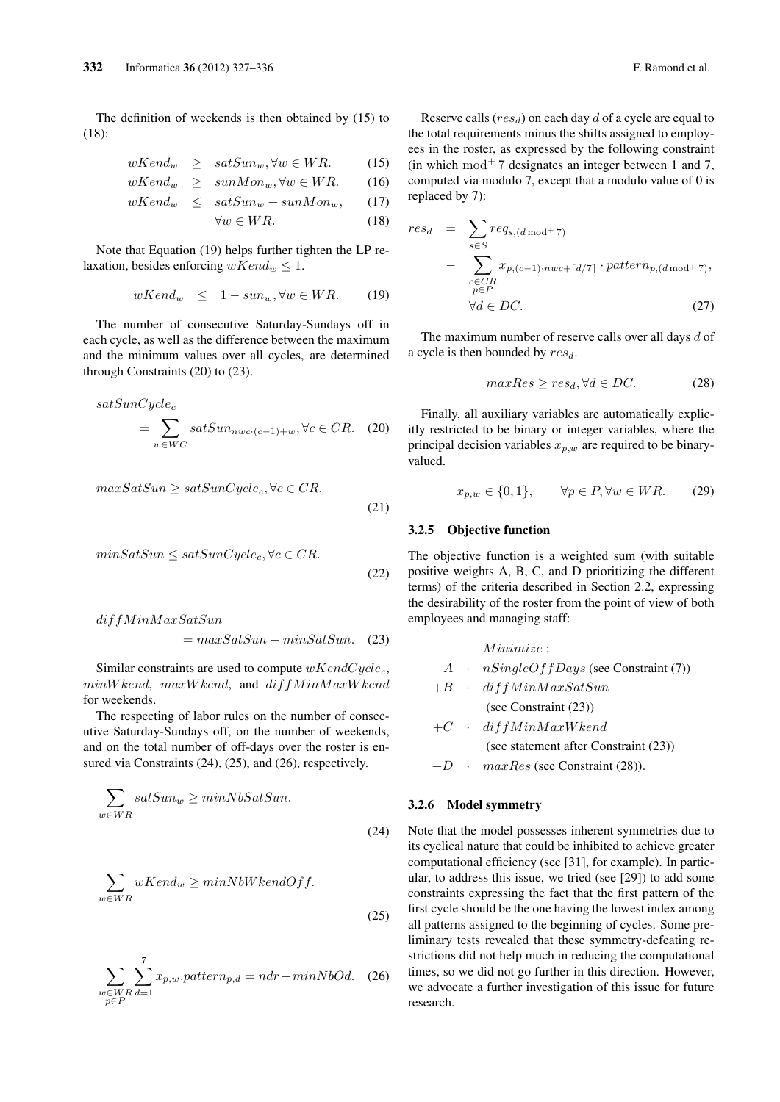The definition of weekends is then obtained by (15) to (18):

$$
wKend_w \geq satSun_w, \forall w \in WR. \tag{15}
$$

$$
wKend_w \geq \quad \text{sunMon}_w, \forall w \in WR. \tag{16}
$$

$$
wKend_w \leq satSun_w + sunMon_w, \qquad (17)
$$

$$
\forall w \in WR. \tag{18}
$$

Note that Equation (19) helps further tighten the LP relaxation, besides enforcing  $wKend_w \leq 1$ .

$$
wKend_w \leq 1 - sun_w, \forall w \in WR. \tag{19}
$$

The number of consecutive Saturday-Sundays off in each cycle, as well as the difference between the maximum and the minimum values over all cycles, are determined through Constraints (20) to (23).

$$
satSunCycle_c
$$
  
= 
$$
\sum_{w \in WC} satSun_{nwc \cdot (c-1)+w}, \forall c \in CR.
$$
 (20)

$$
maxSatSun \ge satSunCycle_c, \forall c \in CR.
$$
\n(21)

$$
minSatSun \le satSunCycle_c, \forall c \in CR.
$$
\n(22)

$$
diffMinMaxSatSun
$$
  
= maxSatSun - minSatSun. (23)

Similar constraints are used to compute *wKendCyclec*, *minW kend*, *maxW kend*, and *diffM inM axW kend* for weekends.

The respecting of labor rules on the number of consecutive Saturday-Sundays off, on the number of weekends, and on the total number of off-days over the roster is ensured via Constraints (24), (25), and (26), respectively.

$$
\sum_{w \in WR} satSun_w \ge minNbSatSun.
$$
\n(24)

$$
\sum_{w \in WR} wKend_w \ge \min NbWkendOff.
$$
\n(25)

$$
\sum_{\substack{w \in WR \\ p \in P}} \sum_{d=1}^{7} x_{p,w}.pattern_{p,d} = ndr - minNbOd.
$$
 (26)

Reserve calls (*resd*) on each day *d* of a cycle are equal to the total requirements minus the shifts assigned to employees in the roster, as expressed by the following constraint (in which mod<sup>+</sup> 7 designates an integer between 1 and 7, computed via modulo 7, except that a modulo value of 0 is replaced by 7):

$$
res_d = \sum_{s \in S} req_{s,(d \mod 7)}
$$
  
- 
$$
\sum_{\substack{c \in CR \\ p \in P}} x_{p,(c-1)\cdot nwc + \lceil d/7 \rceil} \cdot pattern_{p,(d \mod 7)},
$$
  

$$
\forall d \in DC.
$$
 (27)

The maximum number of reserve calls over all days *d* of a cycle is then bounded by *resd*.

$$
maxRes \ge res_d, \forall d \in DC. \tag{28}
$$

Finally, all auxiliary variables are automatically explicitly restricted to be binary or integer variables, where the principal decision variables  $x_{p,w}$  are required to be binaryvalued.

$$
x_{p,w} \in \{0,1\}, \qquad \forall p \in P, \forall w \in WR. \tag{29}
$$

#### 3.2.5 Objective function

The objective function is a weighted sum (with suitable positive weights A, B, C, and D prioritizing the different terms) of the criteria described in Section 2.2, expressing the desirability of the roster from the point of view of both employees and managing staff:

*M inimize* : *A · nSingleOffDays* (see Constraint (7))  $+B$   $\cdot$   $diffMinMaxSatSun$ (see Constraint (23))  $+C$  **·**  $diffMinMaxWkend$ (see statement after Constraint (23))

### +*D · maxRes* (see Constraint (28))*.*

#### 3.2.6 Model symmetry

Note that the model possesses inherent symmetries due to its cyclical nature that could be inhibited to achieve greater computational efficiency (see [31], for example). In particular, to address this issue, we tried (see [29]) to add some constraints expressing the fact that the first pattern of the first cycle should be the one having the lowest index among all patterns assigned to the beginning of cycles. Some preliminary tests revealed that these symmetry-defeating restrictions did not help much in reducing the computational times, so we did not go further in this direction. However, we advocate a further investigation of this issue for future research.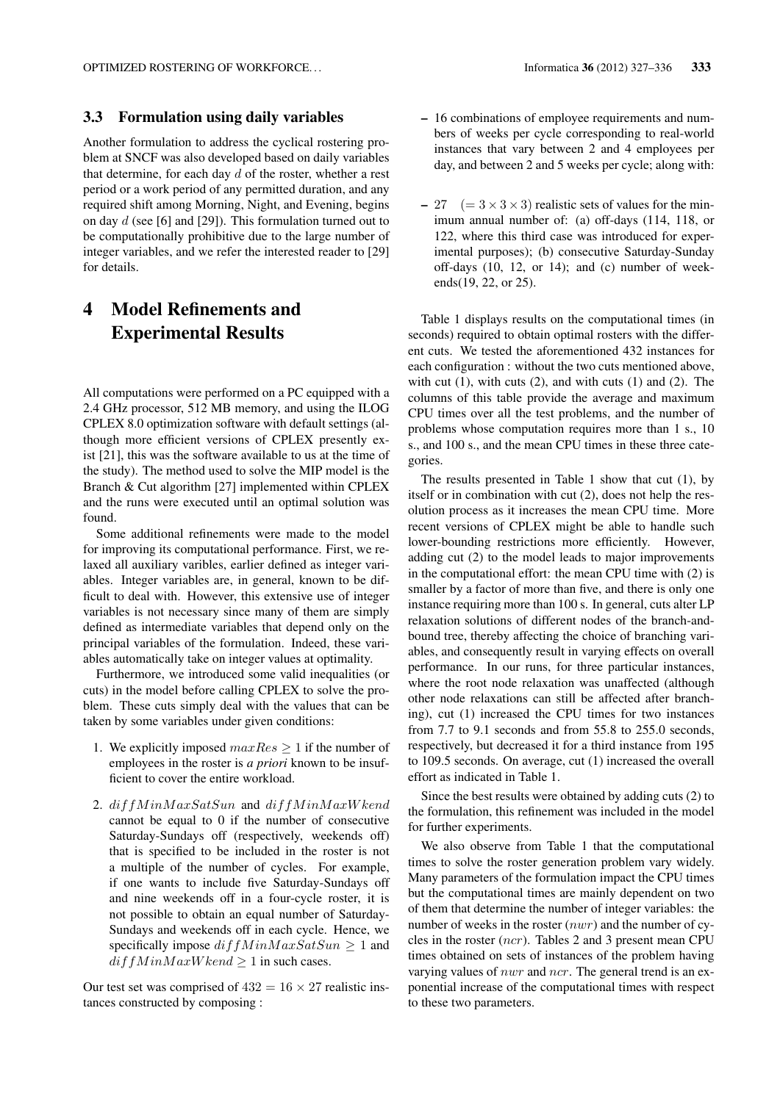#### 3.3 Formulation using daily variables

Another formulation to address the cyclical rostering problem at SNCF was also developed based on daily variables that determine, for each day *d* of the roster, whether a rest period or a work period of any permitted duration, and any required shift among Morning, Night, and Evening, begins on day *d* (see [6] and [29]). This formulation turned out to be computationally prohibitive due to the large number of integer variables, and we refer the interested reader to [29] for details.

# 4 Model Refinements and Experimental Results

All computations were performed on a PC equipped with a 2.4 GHz processor, 512 MB memory, and using the ILOG CPLEX 8.0 optimization software with default settings (although more efficient versions of CPLEX presently exist [21], this was the software available to us at the time of the study). The method used to solve the MIP model is the Branch & Cut algorithm [27] implemented within CPLEX and the runs were executed until an optimal solution was found.

Some additional refinements were made to the model for improving its computational performance. First, we relaxed all auxiliary varibles, earlier defined as integer variables. Integer variables are, in general, known to be difficult to deal with. However, this extensive use of integer variables is not necessary since many of them are simply defined as intermediate variables that depend only on the principal variables of the formulation. Indeed, these variables automatically take on integer values at optimality.

Furthermore, we introduced some valid inequalities (or cuts) in the model before calling CPLEX to solve the problem. These cuts simply deal with the values that can be taken by some variables under given conditions:

- 1. We explicitly imposed  $maxRes \geq 1$  if the number of employees in the roster is *a priori* known to be insufficient to cover the entire workload.
- 2. *diffM inM axSatSun* and *diffM inM axW kend* cannot be equal to 0 if the number of consecutive Saturday-Sundays off (respectively, weekends off) that is specified to be included in the roster is not a multiple of the number of cycles. For example, if one wants to include five Saturday-Sundays off and nine weekends off in a four-cycle roster, it is not possible to obtain an equal number of Saturday-Sundays and weekends off in each cycle. Hence, we specifically impose  $diffMinMaxSatSun \geq 1$  and  $diff MinMaxWkend \ge 1$  in such cases.

Our test set was comprised of  $432 = 16 \times 27$  realistic instances constructed by composing :

- 16 combinations of employee requirements and numbers of weeks per cycle corresponding to real-world instances that vary between 2 and 4 employees per day, and between 2 and 5 weeks per cycle; along with:
- $-27$  (=  $3 \times 3 \times 3$ ) realistic sets of values for the minimum annual number of: (a) off-days (114, 118, or 122, where this third case was introduced for experimental purposes); (b) consecutive Saturday-Sunday off-days (10, 12, or 14); and (c) number of weekends(19, 22, or 25).

Table 1 displays results on the computational times (in seconds) required to obtain optimal rosters with the different cuts. We tested the aforementioned 432 instances for each configuration : without the two cuts mentioned above, with cut  $(1)$ , with cuts  $(2)$ , and with cuts  $(1)$  and  $(2)$ . The columns of this table provide the average and maximum CPU times over all the test problems, and the number of problems whose computation requires more than 1 s., 10 s., and 100 s., and the mean CPU times in these three categories.

The results presented in Table 1 show that cut (1), by itself or in combination with cut (2), does not help the resolution process as it increases the mean CPU time. More recent versions of CPLEX might be able to handle such lower-bounding restrictions more efficiently. However, adding cut (2) to the model leads to major improvements in the computational effort: the mean CPU time with (2) is smaller by a factor of more than five, and there is only one instance requiring more than 100 s. In general, cuts alter LP relaxation solutions of different nodes of the branch-andbound tree, thereby affecting the choice of branching variables, and consequently result in varying effects on overall performance. In our runs, for three particular instances, where the root node relaxation was unaffected (although other node relaxations can still be affected after branching), cut (1) increased the CPU times for two instances from 7.7 to 9.1 seconds and from 55.8 to 255.0 seconds, respectively, but decreased it for a third instance from 195 to 109.5 seconds. On average, cut (1) increased the overall effort as indicated in Table 1.

Since the best results were obtained by adding cuts (2) to the formulation, this refinement was included in the model for further experiments.

We also observe from Table 1 that the computational times to solve the roster generation problem vary widely. Many parameters of the formulation impact the CPU times but the computational times are mainly dependent on two of them that determine the number of integer variables: the number of weeks in the roster (*nwr*) and the number of cycles in the roster (*ncr*). Tables 2 and 3 present mean CPU times obtained on sets of instances of the problem having varying values of *nwr* and *ncr*. The general trend is an exponential increase of the computational times with respect to these two parameters.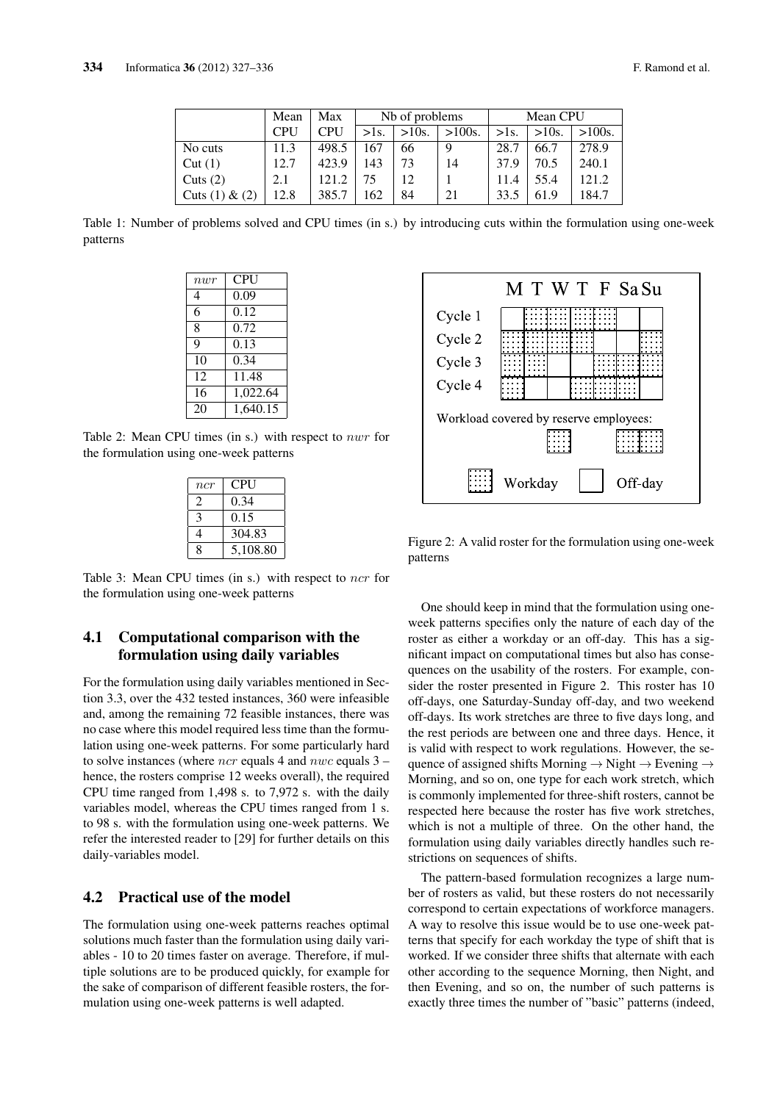|                  | Mean | Max        | Nb of problems |          |           | Mean CPU |          |           |
|------------------|------|------------|----------------|----------|-----------|----------|----------|-----------|
|                  | CPU  | <b>CPU</b> | $>$ 1s.        | $>10s$ . | $>100s$ . | $>1s$ .  | $>10s$ . | $>100s$ . |
| No cuts          | 11.3 | 498.5      | 167            | 66       | 9         | 28.7     | 66.7     | 278.9     |
| Cut(1)           | 12.7 | 423.9      | 143            | 73       | 14        | 37.9     | 70.5     | 240.1     |
| Cuts $(2)$       | 2.1  | 121.2      | 75             | 12       |           | 11.4     | 55.4     | 121.2     |
| Cuts $(1) & (2)$ | 12.8 | 385.7      | 162            | 84       | 21        | 33.5     | 61.9     | 184.7     |

Table 1: Number of problems solved and CPU times (in s.) by introducing cuts within the formulation using one-week patterns

| $\frac{nw}{r}$ | CPU      |
|----------------|----------|
| 4              | 0.09     |
| 6              | 0.12     |
| 8              | 0.72     |
| Q              | 0.13     |
| 10             | 0.34     |
| 12             | 11.48    |
| 16             | 1,022.64 |
| 20             | 1,640.15 |

Table 2: Mean CPU times (in s.) with respect to *nwr* for the formulation using one-week patterns

| ncr           | CPU      |
|---------------|----------|
| $\mathcal{L}$ | 0.34     |
| 3             | 0.15     |
| 4             | 304.83   |
| 8             | 5,108.80 |

Table 3: Mean CPU times (in s.) with respect to *ncr* for the formulation using one-week patterns

## 4.1 Computational comparison with the formulation using daily variables

For the formulation using daily variables mentioned in Section 3.3, over the 432 tested instances, 360 were infeasible and, among the remaining 72 feasible instances, there was no case where this model required less time than the formulation using one-week patterns. For some particularly hard to solve instances (where *ncr* equals 4 and *nwc* equals 3 – hence, the rosters comprise 12 weeks overall), the required CPU time ranged from 1,498 s. to 7,972 s. with the daily variables model, whereas the CPU times ranged from 1 s. to 98 s. with the formulation using one-week patterns. We refer the interested reader to [29] for further details on this daily-variables model.

### 4.2 Practical use of the model

The formulation using one-week patterns reaches optimal solutions much faster than the formulation using daily variables - 10 to 20 times faster on average. Therefore, if multiple solutions are to be produced quickly, for example for the sake of comparison of different feasible rosters, the formulation using one-week patterns is well adapted.



Figure 2: A valid roster for the formulation using one-week patterns

One should keep in mind that the formulation using oneweek patterns specifies only the nature of each day of the roster as either a workday or an off-day. This has a significant impact on computational times but also has consequences on the usability of the rosters. For example, consider the roster presented in Figure 2. This roster has 10 off-days, one Saturday-Sunday off-day, and two weekend off-days. Its work stretches are three to five days long, and the rest periods are between one and three days. Hence, it is valid with respect to work regulations. However, the sequence of assigned shifts Morning *→* Night *→* Evening *→* Morning, and so on, one type for each work stretch, which is commonly implemented for three-shift rosters, cannot be respected here because the roster has five work stretches, which is not a multiple of three. On the other hand, the formulation using daily variables directly handles such restrictions on sequences of shifts.

The pattern-based formulation recognizes a large number of rosters as valid, but these rosters do not necessarily correspond to certain expectations of workforce managers. A way to resolve this issue would be to use one-week patterns that specify for each workday the type of shift that is worked. If we consider three shifts that alternate with each other according to the sequence Morning, then Night, and then Evening, and so on, the number of such patterns is exactly three times the number of "basic" patterns (indeed,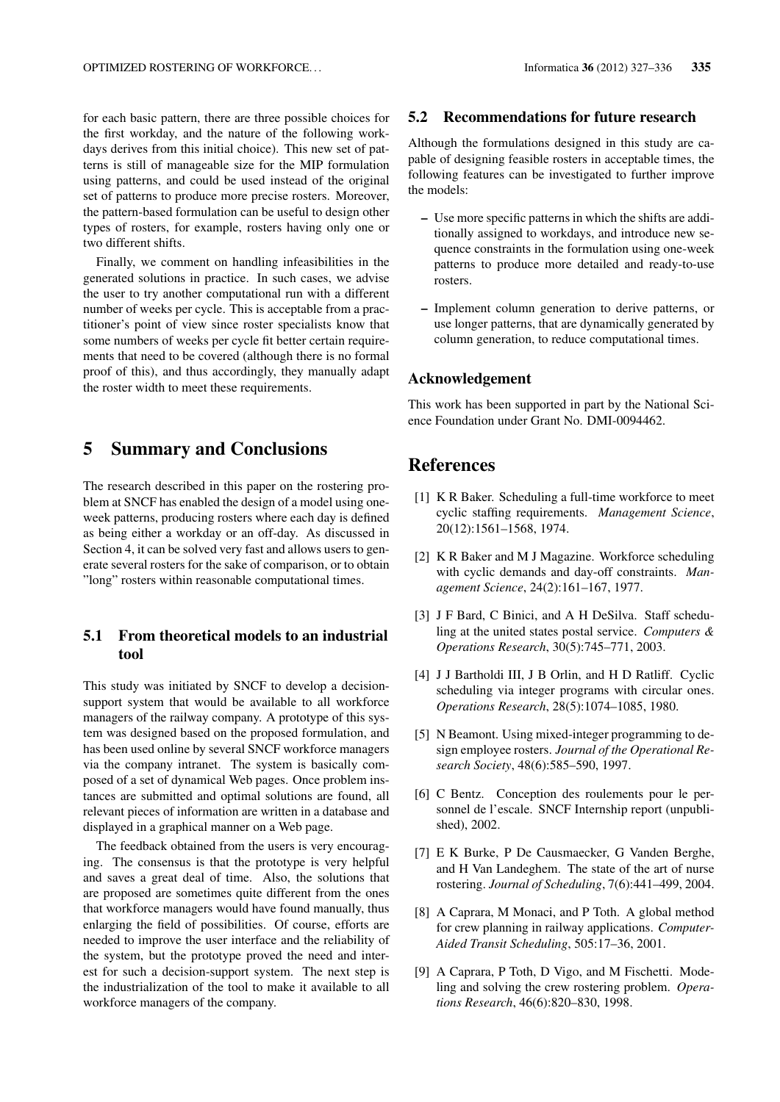for each basic pattern, there are three possible choices for the first workday, and the nature of the following workdays derives from this initial choice). This new set of patterns is still of manageable size for the MIP formulation using patterns, and could be used instead of the original set of patterns to produce more precise rosters. Moreover, the pattern-based formulation can be useful to design other types of rosters, for example, rosters having only one or two different shifts.

Finally, we comment on handling infeasibilities in the generated solutions in practice. In such cases, we advise the user to try another computational run with a different number of weeks per cycle. This is acceptable from a practitioner's point of view since roster specialists know that some numbers of weeks per cycle fit better certain requirements that need to be covered (although there is no formal proof of this), and thus accordingly, they manually adapt the roster width to meet these requirements.

## 5 Summary and Conclusions

The research described in this paper on the rostering problem at SNCF has enabled the design of a model using oneweek patterns, producing rosters where each day is defined as being either a workday or an off-day. As discussed in Section 4, it can be solved very fast and allows users to generate several rosters for the sake of comparison, or to obtain "long" rosters within reasonable computational times.

### 5.1 From theoretical models to an industrial tool

This study was initiated by SNCF to develop a decisionsupport system that would be available to all workforce managers of the railway company. A prototype of this system was designed based on the proposed formulation, and has been used online by several SNCF workforce managers via the company intranet. The system is basically composed of a set of dynamical Web pages. Once problem instances are submitted and optimal solutions are found, all relevant pieces of information are written in a database and displayed in a graphical manner on a Web page.

The feedback obtained from the users is very encouraging. The consensus is that the prototype is very helpful and saves a great deal of time. Also, the solutions that are proposed are sometimes quite different from the ones that workforce managers would have found manually, thus enlarging the field of possibilities. Of course, efforts are needed to improve the user interface and the reliability of the system, but the prototype proved the need and interest for such a decision-support system. The next step is the industrialization of the tool to make it available to all workforce managers of the company.

### 5.2 Recommendations for future research

Although the formulations designed in this study are capable of designing feasible rosters in acceptable times, the following features can be investigated to further improve the models:

- Use more specific patterns in which the shifts are additionally assigned to workdays, and introduce new sequence constraints in the formulation using one-week patterns to produce more detailed and ready-to-use rosters.
- Implement column generation to derive patterns, or use longer patterns, that are dynamically generated by column generation, to reduce computational times.

#### Acknowledgement

This work has been supported in part by the National Science Foundation under Grant No. DMI-0094462.

## **References**

- [1] K R Baker. Scheduling a full-time workforce to meet cyclic staffing requirements. *Management Science*, 20(12):1561–1568, 1974.
- [2] K R Baker and M J Magazine. Workforce scheduling with cyclic demands and day-off constraints. *Management Science*, 24(2):161–167, 1977.
- [3] J F Bard, C Binici, and A H DeSilva. Staff scheduling at the united states postal service. *Computers & Operations Research*, 30(5):745–771, 2003.
- [4] J J Bartholdi III, J B Orlin, and H D Ratliff. Cyclic scheduling via integer programs with circular ones. *Operations Research*, 28(5):1074–1085, 1980.
- [5] N Beamont. Using mixed-integer programming to design employee rosters. *Journal of the Operational Research Society*, 48(6):585–590, 1997.
- [6] C Bentz. Conception des roulements pour le personnel de l'escale. SNCF Internship report (unpublished), 2002.
- [7] E K Burke, P De Causmaecker, G Vanden Berghe, and H Van Landeghem. The state of the art of nurse rostering. *Journal of Scheduling*, 7(6):441–499, 2004.
- [8] A Caprara, M Monaci, and P Toth. A global method for crew planning in railway applications. *Computer-Aided Transit Scheduling*, 505:17–36, 2001.
- [9] A Caprara, P Toth, D Vigo, and M Fischetti. Modeling and solving the crew rostering problem. *Operations Research*, 46(6):820–830, 1998.